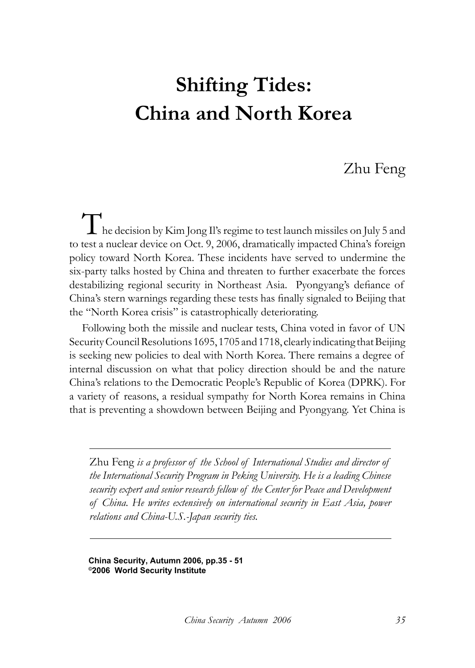# **Shifting Tides: China and North Korea**

## Zhu Feng

The decision by Kim Jong Il's regime to test launch missiles on July 5 and to test a nuclear device on Oct. 9, 2006, dramatically impacted China's foreign policy toward North Korea. These incidents have served to undermine the six-party talks hosted by China and threaten to further exacerbate the forces destabilizing regional security in Northeast Asia. Pyongyang's defiance of China's stern warnings regarding these tests has finally signaled to Beijing that the "North Korea crisis" is catastrophically deteriorating.

Following both the missile and nuclear tests, China voted in favor of UN Security Council Resolutions 1695, 1705 and 1718, clearly indicating that Beijing is seeking new policies to deal with North Korea. There remains a degree of internal discussion on what that policy direction should be and the nature China's relations to the Democratic People's Republic of Korea (DPRK). For a variety of reasons, a residual sympathy for North Korea remains in China that is preventing a showdown between Beijing and Pyongyang. Yet China is

Zhu Feng *is a professor of the School of International Studies and director of the International Security Program in Peking University. He is a leading Chinese security expert and senior research fellow of the Center for Peace and Development of China. He writes extensively on international security in East Asia, power relations and China-U.S.-Japan security ties.*

**China Security, Autumn 2006, pp.35 - 51 ©2006 World Security Institute**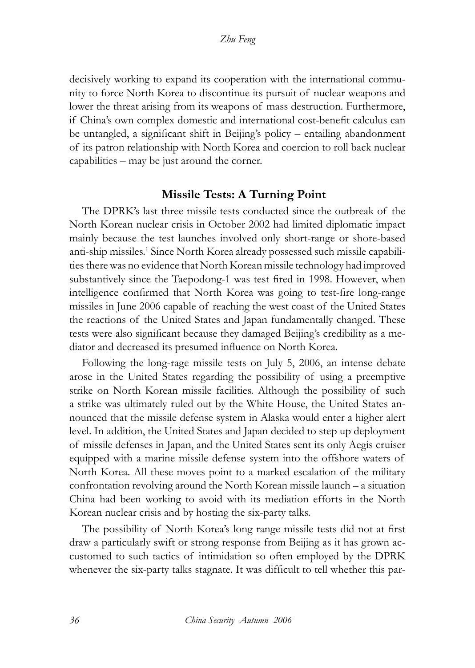decisively working to expand its cooperation with the international community to force North Korea to discontinue its pursuit of nuclear weapons and lower the threat arising from its weapons of mass destruction. Furthermore, if China's own complex domestic and international cost-benefit calculus can be untangled, a significant shift in Beijing's policy – entailing abandonment of its patron relationship with North Korea and coercion to roll back nuclear capabilities – may be just around the corner.

#### **Missile Tests: A Turning Point**

The DPRK's last three missile tests conducted since the outbreak of the North Korean nuclear crisis in October 2002 had limited diplomatic impact mainly because the test launches involved only short-range or shore-based anti-ship missiles.<sup>1</sup> Since North Korea already possessed such missile capabilities there was no evidence that North Korean missile technology had improved substantively since the Taepodong-1 was test fired in 1998. However, when intelligence confirmed that North Korea was going to test-fire long-range missiles in June 2006 capable of reaching the west coast of the United States the reactions of the United States and Japan fundamentally changed. These tests were also significant because they damaged Beijing's credibility as a mediator and decreased its presumed influence on North Korea.

Following the long-rage missile tests on July 5, 2006, an intense debate arose in the United States regarding the possibility of using a preemptive strike on North Korean missile facilities. Although the possibility of such a strike was ultimately ruled out by the White House, the United States announced that the missile defense system in Alaska would enter a higher alert level. In addition, the United States and Japan decided to step up deployment of missile defenses in Japan, and the United States sent its only Aegis cruiser equipped with a marine missile defense system into the offshore waters of North Korea. All these moves point to a marked escalation of the military confrontation revolving around the North Korean missile launch – a situation China had been working to avoid with its mediation efforts in the North Korean nuclear crisis and by hosting the six-party talks.

The possibility of North Korea's long range missile tests did not at first draw a particularly swift or strong response from Beijing as it has grown accustomed to such tactics of intimidation so often employed by the DPRK whenever the six-party talks stagnate. It was difficult to tell whether this par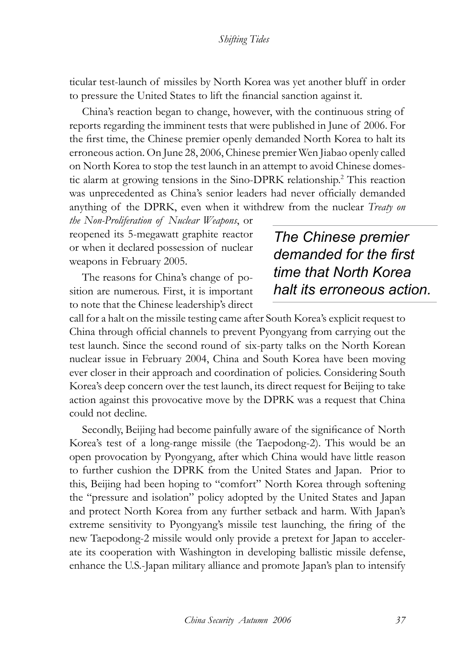ticular test-launch of missiles by North Korea was yet another bluff in order to pressure the United States to lift the financial sanction against it.

China's reaction began to change, however, with the continuous string of reports regarding the imminent tests that were published in June of 2006. For the first time, the Chinese premier openly demanded North Korea to halt its erroneous action. On June 28, 2006, Chinese premier Wen Jiabao openly called on North Korea to stop the test launch in an attempt to avoid Chinese domestic alarm at growing tensions in the Sino-DPRK relationship.2 This reaction was unprecedented as China's senior leaders had never officially demanded anything of the DPRK, even when it withdrew from the nuclear *Treaty on* 

*the Non-Proliferation of Nuclear Weapons*, or reopened its 5-megawatt graphite reactor or when it declared possession of nuclear weapons in February 2005.

The reasons for China's change of position are numerous. First, it is important to note that the Chinese leadership's direct

# *The Chinese premier demanded for the first time that North Korea halt its erroneous action.*

call for a halt on the missile testing came after South Korea's explicit request to China through official channels to prevent Pyongyang from carrying out the test launch. Since the second round of six-party talks on the North Korean nuclear issue in February 2004, China and South Korea have been moving ever closer in their approach and coordination of policies. Considering South Korea's deep concern over the test launch, its direct request for Beijing to take action against this provocative move by the DPRK was a request that China could not decline.

Secondly, Beijing had become painfully aware of the significance of North Korea's test of a long-range missile (the Taepodong-2). This would be an open provocation by Pyongyang, after which China would have little reason to further cushion the DPRK from the United States and Japan. Prior to this, Beijing had been hoping to "comfort" North Korea through softening the "pressure and isolation" policy adopted by the United States and Japan and protect North Korea from any further setback and harm. With Japan's extreme sensitivity to Pyongyang's missile test launching, the firing of the new Taepodong-2 missile would only provide a pretext for Japan to accelerate its cooperation with Washington in developing ballistic missile defense, enhance the U.S.-Japan military alliance and promote Japan's plan to intensify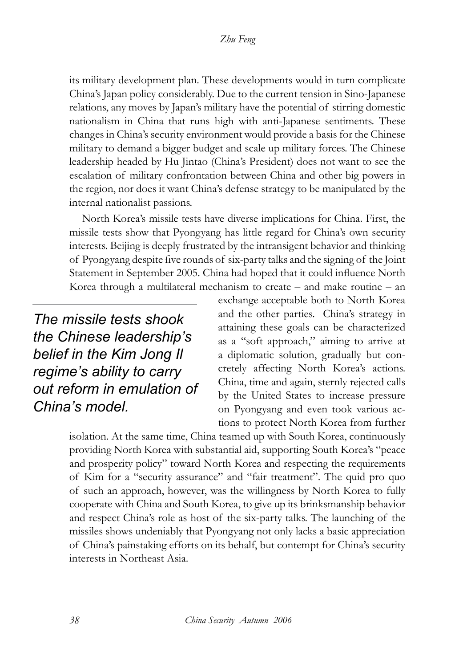its military development plan. These developments would in turn complicate China's Japan policy considerably. Due to the current tension in Sino-Japanese relations, any moves by Japan's military have the potential of stirring domestic nationalism in China that runs high with anti-Japanese sentiments. These changes in China's security environment would provide a basis for the Chinese military to demand a bigger budget and scale up military forces. The Chinese leadership headed by Hu Jintao (China's President) does not want to see the escalation of military confrontation between China and other big powers in the region, nor does it want China's defense strategy to be manipulated by the internal nationalist passions.

North Korea's missile tests have diverse implications for China. First, the missile tests show that Pyongyang has little regard for China's own security interests. Beijing is deeply frustrated by the intransigent behavior and thinking of Pyongyang despite five rounds of six-party talks and the signing of the Joint Statement in September 2005. China had hoped that it could influence North Korea through a multilateral mechanism to create – and make routine – an

*The missile tests shook the Chinese leadership's belief in the Kim Jong Il regime's ability to carry out reform in emulation of China's model.*

exchange acceptable both to North Korea and the other parties. China's strategy in attaining these goals can be characterized as a "soft approach," aiming to arrive at a diplomatic solution, gradually but concretely affecting North Korea's actions. China, time and again, sternly rejected calls by the United States to increase pressure on Pyongyang and even took various actions to protect North Korea from further

isolation. At the same time, China teamed up with South Korea, continuously providing North Korea with substantial aid, supporting South Korea's "peace and prosperity policy" toward North Korea and respecting the requirements of Kim for a "security assurance" and "fair treatment". The quid pro quo of such an approach, however, was the willingness by North Korea to fully cooperate with China and South Korea, to give up its brinksmanship behavior and respect China's role as host of the six-party talks. The launching of the missiles shows undeniably that Pyongyang not only lacks a basic appreciation of China's painstaking efforts on its behalf, but contempt for China's security interests in Northeast Asia.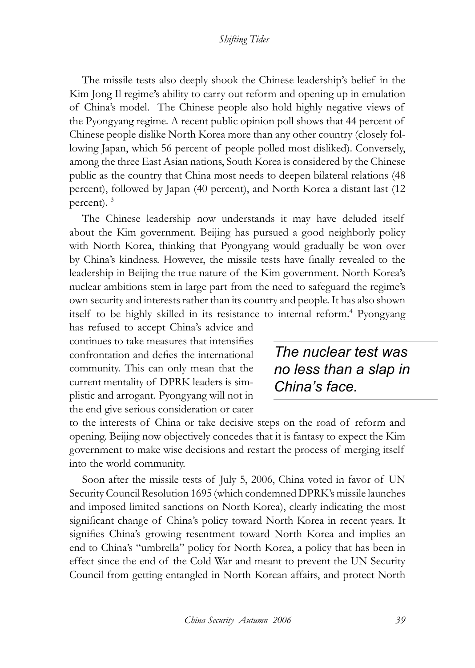The missile tests also deeply shook the Chinese leadership's belief in the Kim Jong Il regime's ability to carry out reform and opening up in emulation of China's model. The Chinese people also hold highly negative views of the Pyongyang regime. A recent public opinion poll shows that 44 percent of Chinese people dislike North Korea more than any other country (closely following Japan, which 56 percent of people polled most disliked). Conversely, among the three East Asian nations, South Korea is considered by the Chinese public as the country that China most needs to deepen bilateral relations (48 percent), followed by Japan (40 percent), and North Korea a distant last (12 percent). 3

The Chinese leadership now understands it may have deluded itself about the Kim government. Beijing has pursued a good neighborly policy with North Korea, thinking that Pyongyang would gradually be won over by China's kindness. However, the missile tests have finally revealed to the leadership in Beijing the true nature of the Kim government. North Korea's nuclear ambitions stem in large part from the need to safeguard the regime's own security and interests rather than its country and people. It has also shown itself to be highly skilled in its resistance to internal reform.<sup>4</sup> Pyongyang

has refused to accept China's advice and continues to take measures that intensifies confrontation and defies the international community. This can only mean that the current mentality of DPRK leaders is simplistic and arrogant. Pyongyang will not in the end give serious consideration or cater

*The nuclear test was no less than a slap in China's face.*

to the interests of China or take decisive steps on the road of reform and opening. Beijing now objectively concedes that it is fantasy to expect the Kim government to make wise decisions and restart the process of merging itself into the world community.

Soon after the missile tests of July 5, 2006, China voted in favor of UN Security Council Resolution 1695 (which condemned DPRK's missile launches and imposed limited sanctions on North Korea), clearly indicating the most significant change of China's policy toward North Korea in recent years. It signifies China's growing resentment toward North Korea and implies an end to China's "umbrella" policy for North Korea, a policy that has been in effect since the end of the Cold War and meant to prevent the UN Security Council from getting entangled in North Korean affairs, and protect North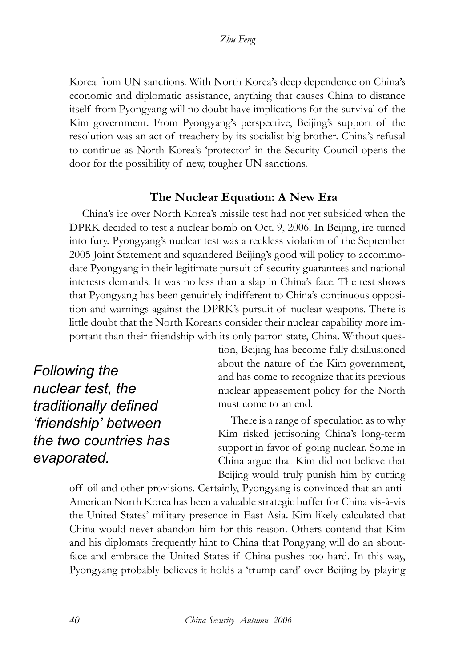Korea from UN sanctions. With North Korea's deep dependence on China's economic and diplomatic assistance, anything that causes China to distance itself from Pyongyang will no doubt have implications for the survival of the Kim government. From Pyongyang's perspective, Beijing's support of the resolution was an act of treachery by its socialist big brother. China's refusal to continue as North Korea's 'protector' in the Security Council opens the door for the possibility of new, tougher UN sanctions.

### **The Nuclear Equation: A New Era**

China's ire over North Korea's missile test had not yet subsided when the DPRK decided to test a nuclear bomb on Oct. 9, 2006. In Beijing, ire turned into fury. Pyongyang's nuclear test was a reckless violation of the September 2005 Joint Statement and squandered Beijing's good will policy to accommodate Pyongyang in their legitimate pursuit of security guarantees and national interests demands. It was no less than a slap in China's face. The test shows that Pyongyang has been genuinely indifferent to China's continuous opposition and warnings against the DPRK's pursuit of nuclear weapons. There is little doubt that the North Koreans consider their nuclear capability more important than their friendship with its only patron state, China. Without ques-

*Following the nuclear test, the traditionally defined 'friendship' between the two countries has evaporated.*

tion, Beijing has become fully disillusioned about the nature of the Kim government, and has come to recognize that its previous nuclear appeasement policy for the North must come to an end.

There is a range of speculation as to why Kim risked jettisoning China's long-term support in favor of going nuclear. Some in China argue that Kim did not believe that Beijing would truly punish him by cutting

off oil and other provisions. Certainly, Pyongyang is convinced that an anti-American North Korea has been a valuable strategic buffer for China vis-à-vis the United States' military presence in East Asia. Kim likely calculated that China would never abandon him for this reason. Others contend that Kim and his diplomats frequently hint to China that Pongyang will do an aboutface and embrace the United States if China pushes too hard. In this way, Pyongyang probably believes it holds a 'trump card' over Beijing by playing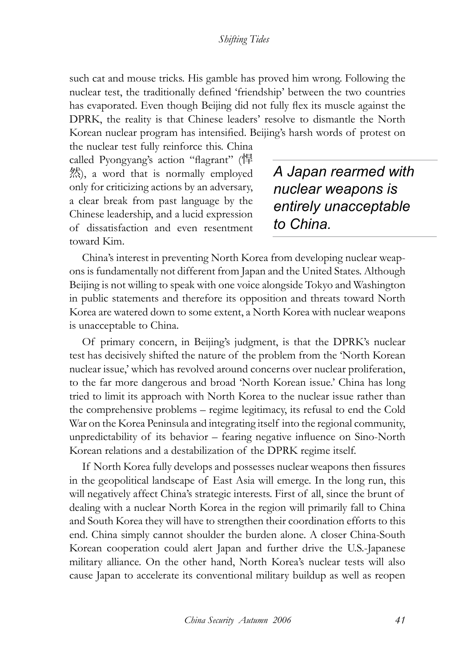such cat and mouse tricks. His gamble has proved him wrong. Following the nuclear test, the traditionally defined 'friendship' between the two countries has evaporated. Even though Beijing did not fully flex its muscle against the DPRK, the reality is that Chinese leaders' resolve to dismantle the North Korean nuclear program has intensified. Beijing's harsh words of protest on

the nuclear test fully reinforce this. China called Pyongyang's action "flagrant" (悍 然), a word that is normally employed only for criticizing actions by an adversary, a clear break from past language by the Chinese leadership, and a lucid expression of dissatisfaction and even resentment toward Kim.

*A Japan rearmed with nuclear weapons is entirely unacceptable to China.*

China's interest in preventing North Korea from developing nuclear weapons is fundamentally not different from Japan and the United States. Although Beijing is not willing to speak with one voice alongside Tokyo and Washington in public statements and therefore its opposition and threats toward North Korea are watered down to some extent, a North Korea with nuclear weapons is unacceptable to China.

Of primary concern, in Beijing's judgment, is that the DPRK's nuclear test has decisively shifted the nature of the problem from the 'North Korean nuclear issue,' which has revolved around concerns over nuclear proliferation, to the far more dangerous and broad 'North Korean issue.' China has long tried to limit its approach with North Korea to the nuclear issue rather than the comprehensive problems – regime legitimacy, its refusal to end the Cold War on the Korea Peninsula and integrating itself into the regional community, unpredictability of its behavior – fearing negative influence on Sino-North Korean relations and a destabilization of the DPRK regime itself.

If North Korea fully develops and possesses nuclear weapons then fissures in the geopolitical landscape of East Asia will emerge. In the long run, this will negatively affect China's strategic interests. First of all, since the brunt of dealing with a nuclear North Korea in the region will primarily fall to China and South Korea they will have to strengthen their coordination efforts to this end. China simply cannot shoulder the burden alone. A closer China-South Korean cooperation could alert Japan and further drive the U.S.-Japanese military alliance. On the other hand, North Korea's nuclear tests will also cause Japan to accelerate its conventional military buildup as well as reopen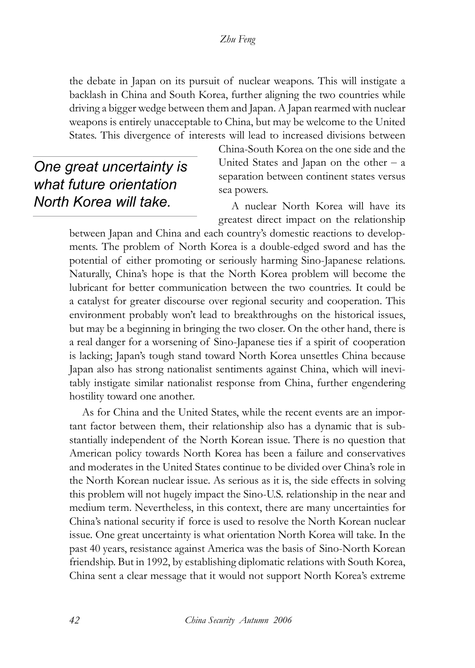the debate in Japan on its pursuit of nuclear weapons. This will instigate a backlash in China and South Korea, further aligning the two countries while driving a bigger wedge between them and Japan. A Japan rearmed with nuclear weapons is entirely unacceptable to China, but may be welcome to the United States. This divergence of interests will lead to increased divisions between

*One great uncertainty is what future orientation North Korea will take.*

China-South Korea on the one side and the United States and Japan on the other  $- a$ separation between continent states versus sea powers.

A nuclear North Korea will have its greatest direct impact on the relationship

between Japan and China and each country's domestic reactions to developments. The problem of North Korea is a double-edged sword and has the potential of either promoting or seriously harming Sino-Japanese relations. Naturally, China's hope is that the North Korea problem will become the lubricant for better communication between the two countries. It could be a catalyst for greater discourse over regional security and cooperation. This environment probably won't lead to breakthroughs on the historical issues, but may be a beginning in bringing the two closer. On the other hand, there is a real danger for a worsening of Sino-Japanese ties if a spirit of cooperation is lacking; Japan's tough stand toward North Korea unsettles China because Japan also has strong nationalist sentiments against China, which will inevitably instigate similar nationalist response from China, further engendering hostility toward one another.

As for China and the United States, while the recent events are an important factor between them, their relationship also has a dynamic that is substantially independent of the North Korean issue. There is no question that American policy towards North Korea has been a failure and conservatives and moderates in the United States continue to be divided over China's role in the North Korean nuclear issue. As serious as it is, the side effects in solving this problem will not hugely impact the Sino-U.S. relationship in the near and medium term. Nevertheless, in this context, there are many uncertainties for China's national security if force is used to resolve the North Korean nuclear issue. One great uncertainty is what orientation North Korea will take. In the past 40 years, resistance against America was the basis of Sino-North Korean friendship. But in 1992, by establishing diplomatic relations with South Korea, China sent a clear message that it would not support North Korea's extreme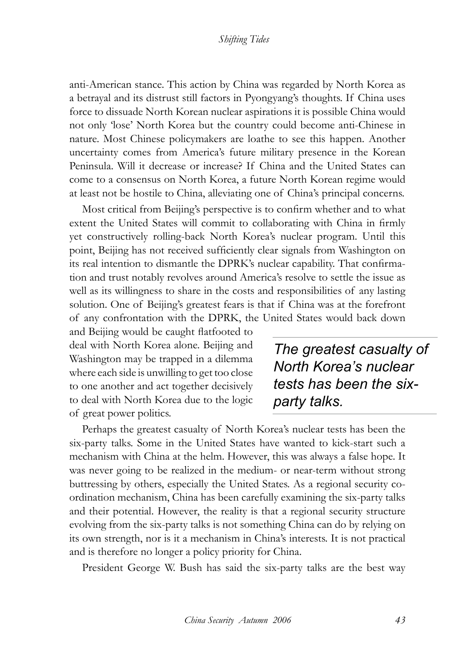anti-American stance. This action by China was regarded by North Korea as a betrayal and its distrust still factors in Pyongyang's thoughts. If China uses force to dissuade North Korean nuclear aspirations it is possible China would not only 'lose' North Korea but the country could become anti-Chinese in nature. Most Chinese policymakers are loathe to see this happen. Another uncertainty comes from America's future military presence in the Korean Peninsula. Will it decrease or increase? If China and the United States can come to a consensus on North Korea, a future North Korean regime would at least not be hostile to China, alleviating one of China's principal concerns.

Most critical from Beijing's perspective is to confirm whether and to what extent the United States will commit to collaborating with China in firmly yet constructively rolling-back North Korea's nuclear program. Until this point, Beijing has not received sufficiently clear signals from Washington on its real intention to dismantle the DPRK's nuclear capability. That confirmation and trust notably revolves around America's resolve to settle the issue as well as its willingness to share in the costs and responsibilities of any lasting solution. One of Beijing's greatest fears is that if China was at the forefront of any confrontation with the DPRK, the United States would back down

and Beijing would be caught flatfooted to deal with North Korea alone. Beijing and Washington may be trapped in a dilemma where each side is unwilling to get too close to one another and act together decisively to deal with North Korea due to the logic of great power politics.

*The greatest casualty of North Korea's nuclear tests has been the sixparty talks.* 

Perhaps the greatest casualty of North Korea's nuclear tests has been the six-party talks. Some in the United States have wanted to kick-start such a mechanism with China at the helm. However, this was always a false hope. It was never going to be realized in the medium- or near-term without strong buttressing by others, especially the United States. As a regional security coordination mechanism, China has been carefully examining the six-party talks and their potential. However, the reality is that a regional security structure evolving from the six-party talks is not something China can do by relying on its own strength, nor is it a mechanism in China's interests. It is not practical and is therefore no longer a policy priority for China.

President George W. Bush has said the six-party talks are the best way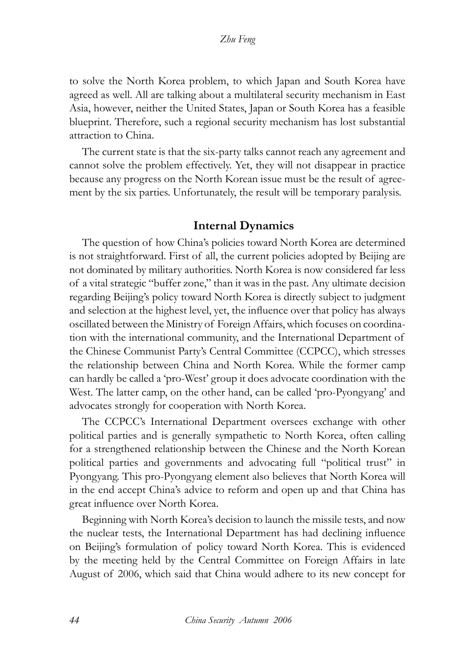to solve the North Korea problem, to which Japan and South Korea have agreed as well. All are talking about a multilateral security mechanism in East Asia, however, neither the United States, Japan or South Korea has a feasible blueprint. Therefore, such a regional security mechanism has lost substantial attraction to China.

The current state is that the six-party talks cannot reach any agreement and cannot solve the problem effectively. Yet, they will not disappear in practice because any progress on the North Korean issue must be the result of agreement by the six parties. Unfortunately, the result will be temporary paralysis.

#### **Internal Dynamics**

The question of how China's policies toward North Korea are determined is not straightforward. First of all, the current policies adopted by Beijing are not dominated by military authorities. North Korea is now considered far less of a vital strategic "buffer zone," than it was in the past. Any ultimate decision regarding Beijing's policy toward North Korea is directly subject to judgment and selection at the highest level, yet, the influence over that policy has always oscillated between the Ministry of Foreign Affairs, which focuses on coordination with the international community, and the International Department of the Chinese Communist Party's Central Committee (CCPCC), which stresses the relationship between China and North Korea. While the former camp can hardly be called a 'pro-West' group it does advocate coordination with the West. The latter camp, on the other hand, can be called 'pro-Pyongyang' and advocates strongly for cooperation with North Korea.

The CCPCC's International Department oversees exchange with other political parties and is generally sympathetic to North Korea, often calling for a strengthened relationship between the Chinese and the North Korean political parties and governments and advocating full "political trust" in Pyongyang. This pro-Pyongyang element also believes that North Korea will in the end accept China's advice to reform and open up and that China has great influence over North Korea.

Beginning with North Korea's decision to launch the missile tests, and now the nuclear tests, the International Department has had declining influence on Beijing's formulation of policy toward North Korea. This is evidenced by the meeting held by the Central Committee on Foreign Affairs in late August of 2006, which said that China would adhere to its new concept for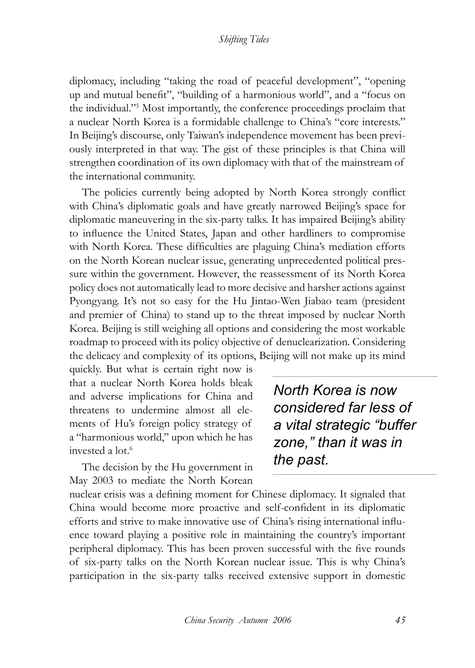diplomacy, including "taking the road of peaceful development", "opening up and mutual benefit", "building of a harmonious world", and a "focus on the individual."5 Most importantly, the conference proceedings proclaim that a nuclear North Korea is a formidable challenge to China's "core interests." In Beijing's discourse, only Taiwan's independence movement has been previously interpreted in that way. The gist of these principles is that China will strengthen coordination of its own diplomacy with that of the mainstream of the international community.

The policies currently being adopted by North Korea strongly conflict with China's diplomatic goals and have greatly narrowed Beijing's space for diplomatic maneuvering in the six-party talks. It has impaired Beijing's ability to influence the United States, Japan and other hardliners to compromise with North Korea. These difficulties are plaguing China's mediation efforts on the North Korean nuclear issue, generating unprecedented political pressure within the government. However, the reassessment of its North Korea policy does not automatically lead to more decisive and harsher actions against Pyongyang. It's not so easy for the Hu Jintao-Wen Jiabao team (president and premier of China) to stand up to the threat imposed by nuclear North Korea. Beijing is still weighing all options and considering the most workable roadmap to proceed with its policy objective of denuclearization. Considering the delicacy and complexity of its options, Beijing will not make up its mind

quickly. But what is certain right now is that a nuclear North Korea holds bleak and adverse implications for China and threatens to undermine almost all elements of Hu's foreign policy strategy of a "harmonious world," upon which he has invested a lot.<sup>6</sup>

The decision by the Hu government in May 2003 to mediate the North Korean

*North Korea is now considered far less of a vital strategic "buffer zone," than it was in the past.*

nuclear crisis was a defining moment for Chinese diplomacy. It signaled that China would become more proactive and self-confident in its diplomatic efforts and strive to make innovative use of China's rising international influence toward playing a positive role in maintaining the country's important peripheral diplomacy. This has been proven successful with the five rounds of six-party talks on the North Korean nuclear issue. This is why China's participation in the six-party talks received extensive support in domestic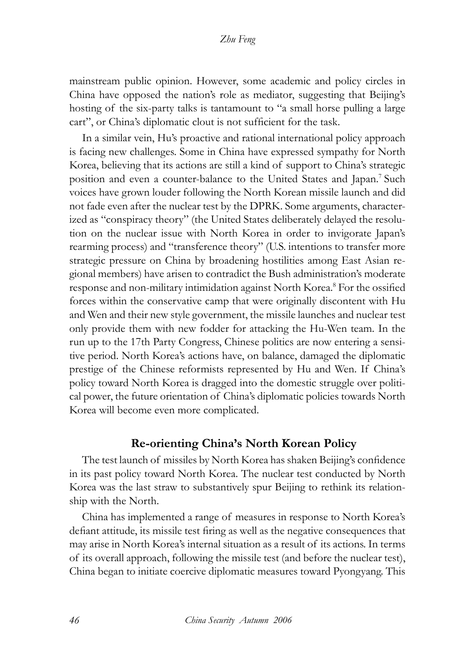mainstream public opinion. However, some academic and policy circles in China have opposed the nation's role as mediator, suggesting that Beijing's hosting of the six-party talks is tantamount to "a small horse pulling a large cart", or China's diplomatic clout is not sufficient for the task.

In a similar vein, Hu's proactive and rational international policy approach is facing new challenges. Some in China have expressed sympathy for North Korea, believing that its actions are still a kind of support to China's strategic position and even a counter-balance to the United States and Japan.7 Such voices have grown louder following the North Korean missile launch and did not fade even after the nuclear test by the DPRK. Some arguments, characterized as "conspiracy theory" (the United States deliberately delayed the resolution on the nuclear issue with North Korea in order to invigorate Japan's rearming process) and "transference theory" (U.S. intentions to transfer more strategic pressure on China by broadening hostilities among East Asian regional members) have arisen to contradict the Bush administration's moderate response and non-military intimidation against North Korea.<sup>8</sup> For the ossified forces within the conservative camp that were originally discontent with Hu and Wen and their new style government, the missile launches and nuclear test only provide them with new fodder for attacking the Hu-Wen team. In the run up to the 17th Party Congress, Chinese politics are now entering a sensitive period. North Korea's actions have, on balance, damaged the diplomatic prestige of the Chinese reformists represented by Hu and Wen. If China's policy toward North Korea is dragged into the domestic struggle over political power, the future orientation of China's diplomatic policies towards North Korea will become even more complicated.

#### **Re-orienting China's North Korean Policy**

The test launch of missiles by North Korea has shaken Beijing's confidence in its past policy toward North Korea. The nuclear test conducted by North Korea was the last straw to substantively spur Beijing to rethink its relationship with the North.

China has implemented a range of measures in response to North Korea's defiant attitude, its missile test firing as well as the negative consequences that may arise in North Korea's internal situation as a result of its actions. In terms of its overall approach, following the missile test (and before the nuclear test), China began to initiate coercive diplomatic measures toward Pyongyang. This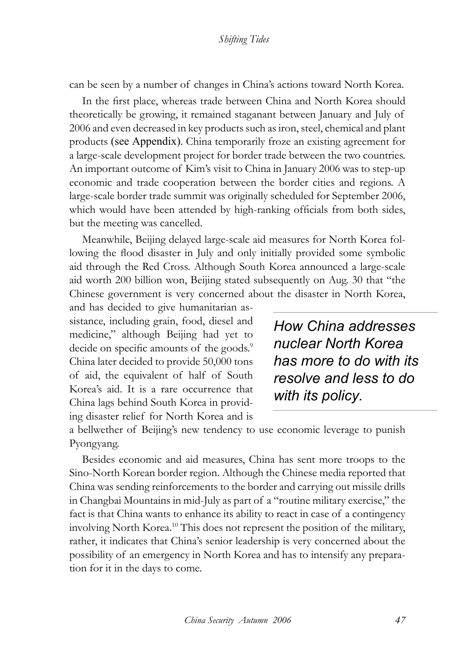can be seen by a number of changes in China's actions toward North Korea.

In the first place, whereas trade between China and North Korea should theoretically be growing, it remained staganant between January and July of 2006 and even decreased in key products such as iron, steel, chemical and plant products (see Appendix). China temporarily froze an existing agreement for a large-scale development project for border trade between the two countries. An important outcome of Kim's visit to China in January 2006 was to step-up economic and trade cooperation between the border cities and regions. A large-scale border trade summit was originally scheduled for September 2006, which would have been attended by high-ranking officials from both sides, but the meeting was cancelled.

Meanwhile, Beijing delayed large-scale aid measures for North Korea following the flood disaster in July and only initially provided some symbolic aid through the Red Cross. Although South Korea announced a large-scale aid worth 200 billion won, Beijing stated subsequently on Aug. 30 that "the Chinese government is very concerned about the disaster in North Korea,

and has decided to give humanitarian assistance, including grain, food, diesel and medicine," although Beijing had yet to decide on specific amounts of the goods.<sup>9</sup> China later decided to provide 50,000 tons of aid, the equivalent of half of South Korea's aid. It is a rare occurrence that China lags behind South Korea in providing disaster relief for North Korea and is

*How China addresses nuclear North Korea has more to do with its resolve and less to do with its policy.*

a bellwether of Beijing's new tendency to use economic leverage to punish Pyongyang.

Besides economic and aid measures, China has sent more troops to the Sino-North Korean border region. Although the Chinese media reported that China was sending reinforcements to the border and carrying out missile drills in Changbai Mountains in mid-July as part of a "routine military exercise," the fact is that China wants to enhance its ability to react in case of a contingency involving North Korea.10 This does not represent the position of the military, rather, it indicates that China's senior leadership is very concerned about the possibility of an emergency in North Korea and has to intensify any preparation for it in the days to come.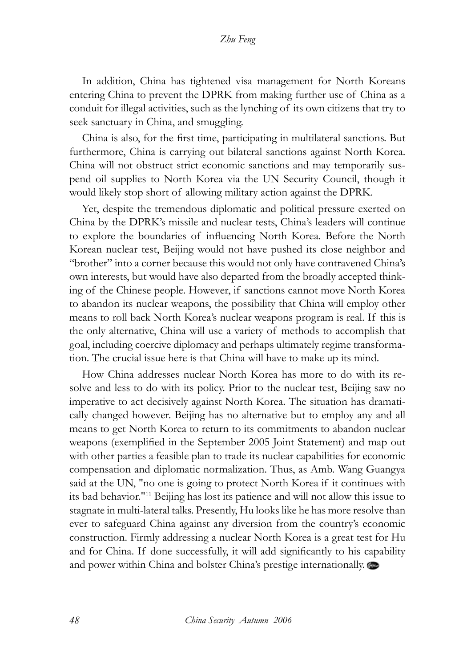#### *Zhu Feng*

In addition, China has tightened visa management for North Koreans entering China to prevent the DPRK from making further use of China as a conduit for illegal activities, such as the lynching of its own citizens that try to seek sanctuary in China, and smuggling.

China is also, for the first time, participating in multilateral sanctions. But furthermore, China is carrying out bilateral sanctions against North Korea. China will not obstruct strict economic sanctions and may temporarily suspend oil supplies to North Korea via the UN Security Council, though it would likely stop short of allowing military action against the DPRK.

Yet, despite the tremendous diplomatic and political pressure exerted on China by the DPRK's missile and nuclear tests, China's leaders will continue to explore the boundaries of influencing North Korea. Before the North Korean nuclear test, Beijing would not have pushed its close neighbor and "brother" into a corner because this would not only have contravened China's own interests, but would have also departed from the broadly accepted thinking of the Chinese people. However, if sanctions cannot move North Korea to abandon its nuclear weapons, the possibility that China will employ other means to roll back North Korea's nuclear weapons program is real. If this is the only alternative, China will use a variety of methods to accomplish that goal, including coercive diplomacy and perhaps ultimately regime transformation. The crucial issue here is that China will have to make up its mind.

How China addresses nuclear North Korea has more to do with its resolve and less to do with its policy. Prior to the nuclear test, Beijing saw no imperative to act decisively against North Korea. The situation has dramatically changed however. Beijing has no alternative but to employ any and all means to get North Korea to return to its commitments to abandon nuclear weapons (exemplified in the September 2005 Joint Statement) and map out with other parties a feasible plan to trade its nuclear capabilities for economic compensation and diplomatic normalization. Thus, as Amb. Wang Guangya said at the UN, "no one is going to protect North Korea if it continues with its bad behavior."11 Beijing has lost its patience and will not allow this issue to stagnate in multi-lateral talks. Presently, Hu looks like he has more resolve than ever to safeguard China against any diversion from the country's economic construction. Firmly addressing a nuclear North Korea is a great test for Hu and for China. If done successfully, it will add significantly to his capability and power within China and bolster China's prestige internationally.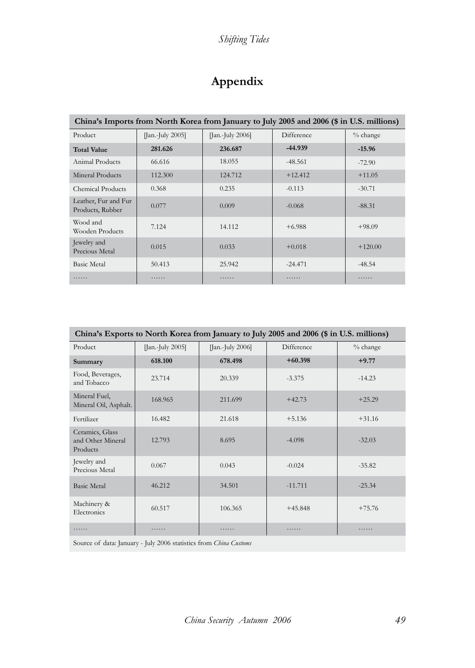# **Appendix**

| China's Imports from North Korea from January to July 2005 and 2006 (\$ in U.S. millions) |                                         |                  |            |            |  |  |
|-------------------------------------------------------------------------------------------|-----------------------------------------|------------------|------------|------------|--|--|
| Product                                                                                   | $\left[ \right]$ an.-July 2005 $\left[$ | [Jan.-July 2006] | Difference | $%$ change |  |  |
| <b>Total Value</b>                                                                        | 281.626                                 | 236.687          | $-44.939$  | $-15.96$   |  |  |
| Animal Products                                                                           | 66.616                                  | 18.055           | $-48.561$  | $-72.90$   |  |  |
| Mineral Products                                                                          | 112.300                                 | 124.712          | $+12.412$  | $+11.05$   |  |  |
| Chemical Products                                                                         | 0.368                                   | 0.235            | $-0.113$   | $-30.71$   |  |  |
| Leather, Fur and Fur<br>Products, Rubber                                                  | 0.077                                   | 0.009            | $-0.068$   | $-88.31$   |  |  |
| Wood and<br>Wooden Products                                                               | 7.124                                   | 14.112           | $+6.988$   | $+98.09$   |  |  |
| Jewelry and<br>Precious Metal                                                             | 0.015                                   | 0.033            | $+0.018$   | $+120.00$  |  |  |
| <b>Basic Metal</b>                                                                        | 50.413                                  | 25.942           | $-24.471$  | $-48.54$   |  |  |
| .                                                                                         | .                                       | .                | .          | .          |  |  |

| China's Exports to North Korea from January to July 2005 and 2006 (\$ in U.S. millions) |                  |                  |            |          |  |  |
|-----------------------------------------------------------------------------------------|------------------|------------------|------------|----------|--|--|
| Product                                                                                 | [Jan.-July 2005] | [Jan.-July 2006] | Difference | % change |  |  |
| Summary                                                                                 | 618.100          | 678.498          | $+60.398$  | $+9.77$  |  |  |
| Food, Beverages,<br>and Tobacco                                                         | 23.714           | 20.339           | $-3.375$   | $-14.23$ |  |  |
| Mineral Fuel,<br>Mineral Oil, Asphalt.                                                  | 168.965          | 211.699          | $+42.73$   | $+25.29$ |  |  |
| Fertilizer                                                                              | 16.482           | 21.618           | $+5.136$   | $+31.16$ |  |  |
| Ceramics, Glass<br>and Other Mineral<br>Products                                        | 12.793           | 8.695            | $-4.098$   | $-32.03$ |  |  |
| Jewelry and<br>Precious Metal                                                           | 0.067            | 0.043            | $-0.024$   | $-35.82$ |  |  |
| <b>Basic Metal</b>                                                                      | 46.212           | 34.501           | $-11.711$  | $-25.34$ |  |  |
| Machinery &<br>Electronics                                                              | 60.517           | 106.365          | $+45.848$  | $+75.76$ |  |  |
|                                                                                         | .                |                  | .          |          |  |  |

Source of data: January - July 2006 statistics from *China Customs*